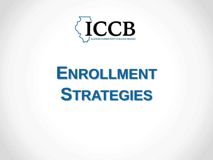

# **ENROLLMENT STRATEGIES**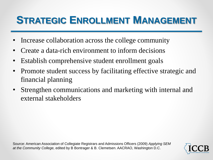#### **STRATEGIC ENROLLMENT MANAGEMENT**

- Increase collaboration across the college community
- Create a data-rich environment to inform decisions
- Establish comprehensive student enrollment goals
- Promote student success by facilitating effective strategic and financial planning
- Strengthen communications and marketing with internal and external stakeholders

Source: American Association of Collegiate Registrars and Admissions Officers (2009) *Applying SEM at the Community College,* edited by B Bontrager & B. Clemetsen. AACRAO, Washington D.C.

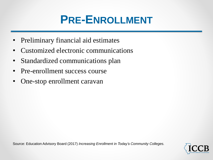## **PRE-ENROLLMENT**

- Preliminary financial aid estimates
- Customized electronic communications
- Standardized communications plan
- Pre-enrollment success course
- One-stop enrollment caravan

Source: Education Advisory Board (2017) *Increasing Enrollment in Today's Community Colleges.*

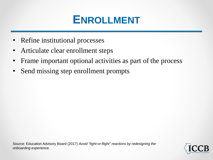### **ENROLLMENT**

- Refine institutional processes
- Articulate clear enrollment steps
- Frame important optional activities as part of the process
- Send missing step enrollment prompts

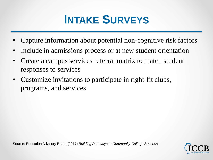

- Capture information about potential non-cognitive risk factors
- Include in admissions process or at new student orientation
- Create a campus services referral matrix to match student responses to services
- Customize invitations to participate in right-fit clubs, programs, and services

Source: Education Advisory Board (2017) *Building Pathways to Community College Success.*

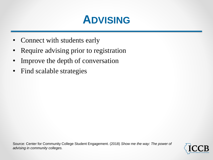### **ADVISING**

- Connect with students early
- Require advising prior to registration
- Improve the depth of conversation
- Find scalable strategies

Source: Center for Community College Student Engagement. (2018) *Show me the way: The power of advising in community colleges.*